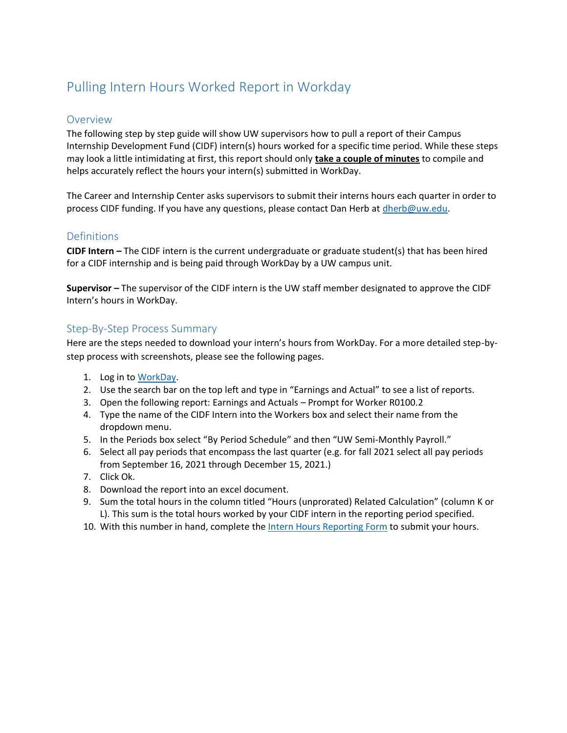# Pulling Intern Hours Worked Report in Workday

#### Overview

The following step by step guide will show UW supervisors how to pull a report of their Campus Internship Development Fund (CIDF) intern(s) hours worked for a specific time period. While these steps may look a little intimidating at first, this report should only **take a couple of minutes** to compile and helps accurately reflect the hours your intern(s) submitted in WorkDay.

The Career and Internship Center asks supervisors to submit their interns hours each quarter in order to process CIDF funding. If you have any questions, please contact Dan Herb at [dherb@uw.edu.](mailto:dherb@uw.edu)

### **Definitions**

**CIDF Intern –** The CIDF intern is the current undergraduate or graduate student(s) that has been hired for a CIDF internship and is being paid through WorkDay by a UW campus unit.

**Supervisor –** The supervisor of the CIDF intern is the UW staff member designated to approve the CIDF Intern's hours in WorkDay.

### Step-By-Step Process Summary

Here are the steps needed to download your intern's hours from WorkDay. For a more detailed step-bystep process with screenshots, please see the following pages.

- 1. Log in to [WorkDay.](https://wd5.myworkday.com/uw/login.htmld)
- 2. Use the search bar on the top left and type in "Earnings and Actual" to see a list of reports.
- 3. Open the following report: Earnings and Actuals Prompt for Worker R0100.2
- 4. Type the name of the CIDF Intern into the Workers box and select their name from the dropdown menu.
- 5. In the Periods box select "By Period Schedule" and then "UW Semi-Monthly Payroll."
- 6. Select all pay periods that encompass the last quarter (e.g. for fall 2021 select all pay periods from September 16, 2021 through December 15, 2021.)
- 7. Click Ok.
- 8. Download the report into an excel document.
- 9. Sum the total hours in the column titled "Hours (unprorated) Related Calculation" (column K or L). This sum is the total hours worked by your CIDF intern in the reporting period specified.
- 10. With this number in hand, complete th[e Intern Hours Reporting Form](https://forms.office.com/Pages/ResponsePage.aspx?id=W9229i_wGkSZoBYqxQYL0necukjeZCdCnNoCypEODt5UREtPRE5ZODhRSEkxREI3OUROWExWMEgxWS4u) to submit your hours.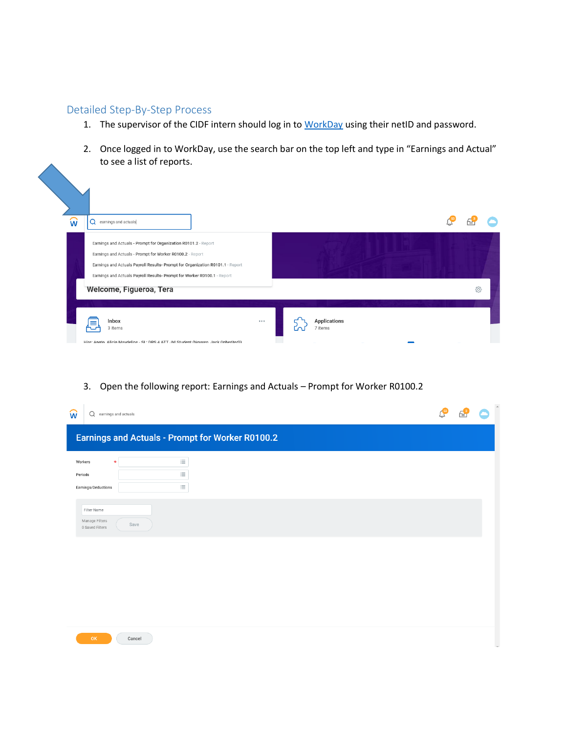## Detailed Step-By-Step Process

- 1. The supervisor of the CIDF intern should log in to [WorkDay](https://wd5.myworkday.com/uw/login.htmld) using their netID and password.
- 2. Once logged in to WorkDay, use the search bar on the top left and type in "Earnings and Actual" to see a list of reports.

| พิ<br>$\mathsf Q$ earnings and actuals                                                                                                                                                                                                                                                                                |                         |
|-----------------------------------------------------------------------------------------------------------------------------------------------------------------------------------------------------------------------------------------------------------------------------------------------------------------------|-------------------------|
| Earnings and Actuals - Prompt for Organization R0101.2 - Report<br>Earnings and Actuals - Prompt for Worker R0100.2 - Report<br>Earnings and Actuals Payroll Results- Prompt for Organization R0101.1 - Report<br>Earnings and Actuals Payroll Results- Prompt for Worker R0100.1 - Report<br>Welcome, Figueroa, Tera | ද්දි                    |
| Inbox<br>$\cdots$<br>≡<br>3 items<br>Hire: Angto Alicia Mavdeline - SL: DRS 4 ATT JM Student (Nguven Jack (Inherited))                                                                                                                                                                                                | Applications<br>7 items |

3. Open the following report: Earnings and Actuals – Prompt for Worker R0100.2

| w                                                | Q earnings and actuals                           |  | $\hat{\phantom{a}}$ |
|--------------------------------------------------|--------------------------------------------------|--|---------------------|
|                                                  | Earnings and Actuals - Prompt for Worker R0100.2 |  |                     |
| Workers<br>Periods<br>Earnings/Deductions        | 洼<br>$\star$<br>這<br>$\equiv$                    |  |                     |
| Filter Name<br>Manage Filters<br>0 Saved Filters | Save                                             |  |                     |
|                                                  |                                                  |  |                     |
|                                                  |                                                  |  |                     |
| OK                                               | Cancel                                           |  |                     |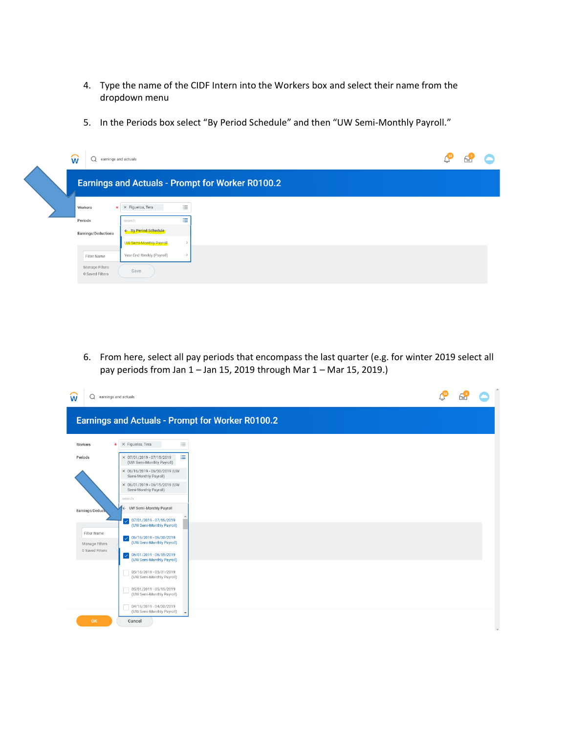- 4. Type the name of the CIDF Intern into the Workers box and select their name from the dropdown menu
- 5. In the Periods box select "By Period Schedule" and then "UW Semi-Monthly Payroll."

| ัพ<br>earnings and actuals<br>u   |                                      |                                                         | ⊸ | ≃ |  |
|-----------------------------------|--------------------------------------|---------------------------------------------------------|---|---|--|
|                                   |                                      | <b>Earnings and Actuals - Prompt for Worker R0100.2</b> |   |   |  |
| Workers                           | 洼<br>$\star$ $\times$ Figueroa, Tera |                                                         |   |   |  |
| Periods                           | 洼<br>search                          |                                                         |   |   |  |
| Earnings/Deductions               | ← By Period Schedule                 |                                                         |   |   |  |
|                                   | <b>UW Semi-Monthly Payroll</b>       |                                                         |   |   |  |
| Filter Name                       | Year End Weekly (Payroll)            |                                                         |   |   |  |
| Manage Filters<br>0 Saved Filters | Save                                 |                                                         |   |   |  |

6. From here, select all pay periods that encompass the last quarter (e.g. for winter 2019 select all pay periods from Jan 1 – Jan 15, 2019 through Mar 1 – Mar 15, 2019.)

| Q<br>W                                           | earnings and actuals                                                 |  |  |
|--------------------------------------------------|----------------------------------------------------------------------|--|--|
|                                                  | <b>Earnings and Actuals - Prompt for Worker R0100.2</b>              |  |  |
| Workers                                          | $\equiv$<br>$\star$ $\times$ Figueroa, Tera                          |  |  |
| Periods                                          | 津<br>× 07/01/2019 - 07/15/2019<br>(UW Semi-Monthly Payroll)          |  |  |
|                                                  | × 06/16/2019 - 06/30/2019 (UW<br>Semi-Monthly Payroll)               |  |  |
|                                                  | × 06/01/2019 - 06/15/2019 (UW<br>Semi-Monthly Payroll)               |  |  |
|                                                  | search<br>← UW Semi-Monthly Payroll                                  |  |  |
| Earnings/Deduct                                  | $\sqrt{07/01/2019} \cdot 07/15/2019$<br>(UW Semi-Monthly Payroll)    |  |  |
| Filter Name<br>Manage Filters<br>0 Saved Filters | 06/16/2019 - 06/30/2019<br>$\checkmark$<br>(UW Semi-Monthly Payroll) |  |  |
|                                                  | $\bigvee$ 06/01/2019 - 06/15/2019<br>(UW Semi-Monthly Payroll)       |  |  |
|                                                  | 05/16/2019 - 05/31/2019<br>(UW Semi-Monthly Payroll)                 |  |  |
|                                                  | 05/01/2019 - 05/15/2019<br>(UW Semi-Monthly Payroll)                 |  |  |
|                                                  | 04/16/2019 - 04/30/2019<br>(UW Semi-Monthly Payroll)                 |  |  |
| OK                                               | Cancel                                                               |  |  |